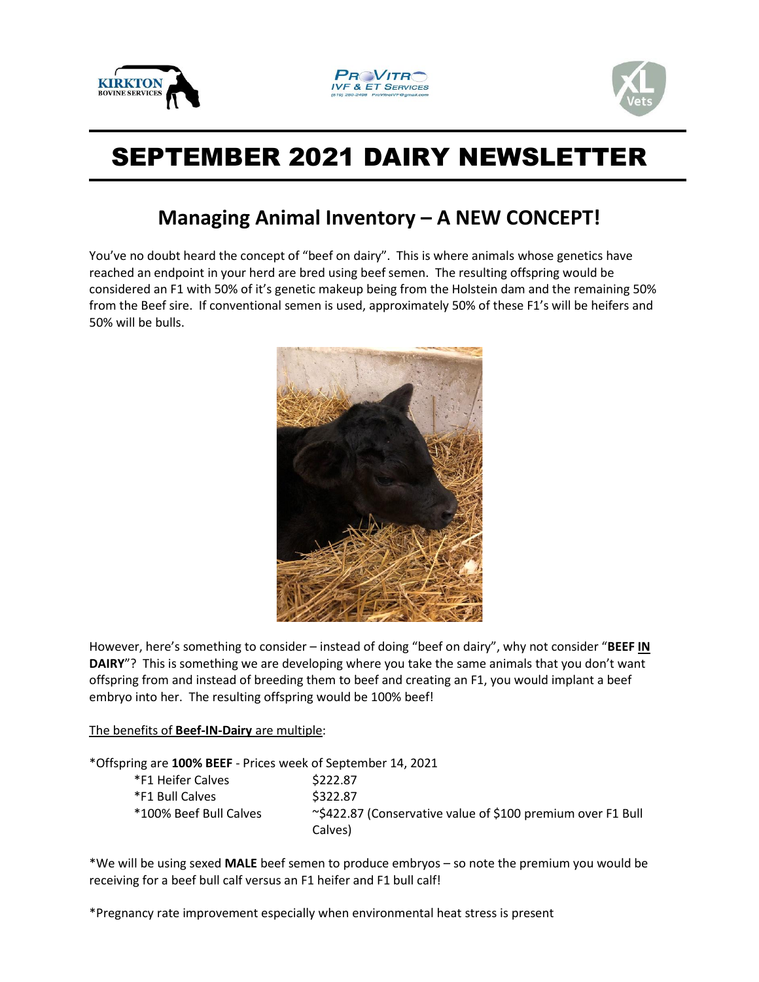





## SEPTEMBER 2021 DAIRY NEWSLETTER

## **Managing Animal Inventory – A NEW CONCEPT!**

You've no doubt heard the concept of "beef on dairy". This is where animals whose genetics have reached an endpoint in your herd are bred using beef semen. The resulting offspring would be considered an F1 with 50% of it's genetic makeup being from the Holstein dam and the remaining 50% from the Beef sire. If conventional semen is used, approximately 50% of these F1's will be heifers and 50% will be bulls.



However, here's something to consider – instead of doing "beef on dairy", why not consider "**BEEF IN DAIRY**"? This is something we are developing where you take the same animals that you don't want offspring from and instead of breeding them to beef and creating an F1, you would implant a beef embryo into her. The resulting offspring would be 100% beef!

## The benefits of **Beef-IN-Dairy** are multiple:

\*Offspring are **100% BEEF** - Prices week of September 14, 2021

| *F1 Heifer Calves      | \$222.87                                                               |
|------------------------|------------------------------------------------------------------------|
| *F1 Bull Calves        | \$322.87                                                               |
| *100% Beef Bull Calves | ~\$422.87 (Conservative value of \$100 premium over F1 Bull<br>Calves) |

\*We will be using sexed **MALE** beef semen to produce embryos – so note the premium you would be receiving for a beef bull calf versus an F1 heifer and F1 bull calf!

\*Pregnancy rate improvement especially when environmental heat stress is present